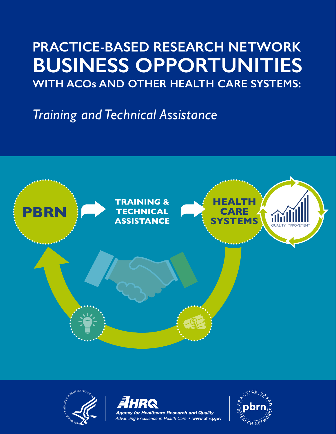# **PRACTICE-BASED RESEARCH NETWORK BUSINESS OPPORTUNITIES WITH ACOs AND OTHER HEALTH CARE SYSTEMS:**

*Training and Technical Assistance*







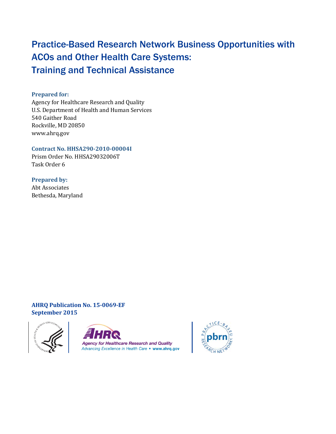# Practice-Based Research Network Business Opportunities with ACOs and Other Health Care Systems: Training and Technical Assistance

#### **Prepared for:**

Agency for Healthcare Research and Quality U.S. Department of Health and Human Services 540 Gaither Road Rockville, MD 20850 www.ahrq.gov

**Contract No. HHSA290-2010-00004I** Prism Order No. HHSA29032006T Task Order 6

**Prepared by:**  Abt Associates Bethesda, Maryland

**AHRQ Publication No. 15-0069-EF September 2015**





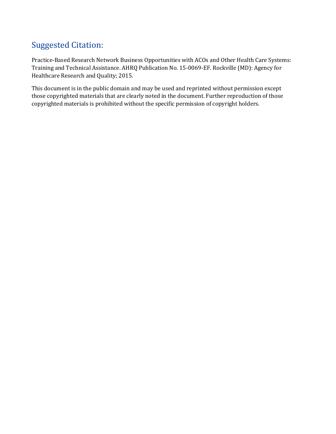# Suggested Citation:

Practice-Based Research Network Business Opportunities with ACOs and Other Health Care Systems: Training and Technical Assistance. AHRQ Publication No. 15-0069-EF. Rockville (MD): Agency for Healthcare Research and Quality; 2015.

This document is in the public domain and may be used and reprinted without permission except those copyrighted materials that are clearly noted in the document. Further reproduction of those copyrighted materials is prohibited without the specific permission of copyright holders.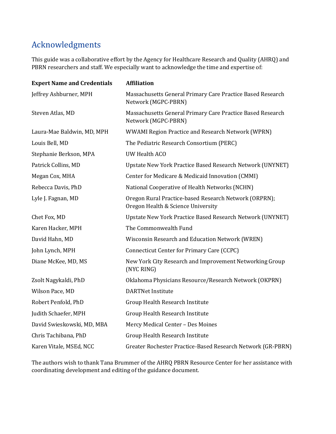# Acknowledgments

This guide was a collaborative effort by the Agency for Healthcare Research and Quality (AHRQ) and PBRN researchers and staff. We especially want to acknowledge the time and expertise of:

| <b>Expert Name and Credentials</b> | <b>Affiliation</b>                                                                          |
|------------------------------------|---------------------------------------------------------------------------------------------|
| Jeffrey Ashburner, MPH             | Massachusetts General Primary Care Practice Based Research<br>Network (MGPC-PBRN)           |
| Steven Atlas, MD                   | Massachusetts General Primary Care Practice Based Research<br>Network (MGPC-PBRN)           |
| Laura-Mae Baldwin, MD, MPH         | <b>WWAMI Region Practice and Research Network (WPRN)</b>                                    |
| Louis Bell, MD                     | The Pediatric Research Consortium (PERC)                                                    |
| Stephanie Berkson, MPA             | UW Health ACO                                                                               |
| Patrick Collins, MD                | Upstate New York Practice Based Research Network (UNYNET)                                   |
| Megan Cox, MHA                     | Center for Medicare & Medicaid Innovation (CMMI)                                            |
| Rebecca Davis, PhD                 | National Cooperative of Health Networks (NCHN)                                              |
| Lyle J. Fagnan, MD                 | Oregon Rural Practice-based Research Network (ORPRN);<br>Oregon Health & Science University |
| Chet Fox, MD                       | Upstate New York Practice Based Research Network (UNYNET)                                   |
| Karen Hacker, MPH                  | The Commonwealth Fund                                                                       |
| David Hahn, MD                     | Wisconsin Research and Education Network (WREN)                                             |
| John Lynch, MPH                    | <b>Connecticut Center for Primary Care (CCPC)</b>                                           |
| Diane McKee, MD, MS                | New York City Research and Improvement Networking Group<br>(NYC RING)                       |
| Zsolt Nagykaldi, PhD               | Oklahoma Physicians Resource/Research Network (OKPRN)                                       |
| Wilson Pace, MD                    | <b>DARTNet Institute</b>                                                                    |
| Robert Penfold, PhD                | Group Health Research Institute                                                             |
| Judith Schaefer, MPH               | Group Health Research Institute                                                             |
| David Swieskowski, MD, MBA         | Mercy Medical Center - Des Moines                                                           |
| Chris Tachibana, PhD               | Group Health Research Institute                                                             |
| Karen Vitale, MSEd, NCC            | Greater Rochester Practice-Based Research Network (GR-PBRN)                                 |

The authors wish to thank Tana Brummer of the AHRQ PBRN Resource Center for her assistance with coordinating development and editing of the guidance document.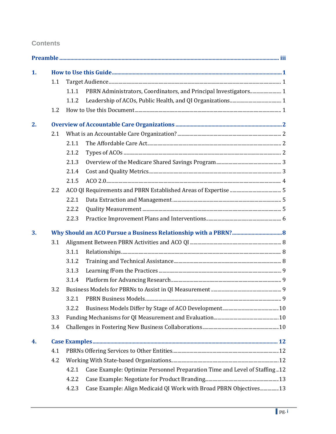## **Contents**

| 1. |     |       |                                                                           |  |
|----|-----|-------|---------------------------------------------------------------------------|--|
|    | 1.1 |       |                                                                           |  |
|    |     | 1.1.1 | PBRN Administrators, Coordinators, and Principal Investigators 1          |  |
|    |     | 1.1.2 |                                                                           |  |
|    | 1.2 |       |                                                                           |  |
| 2. |     |       |                                                                           |  |
|    | 2.1 |       |                                                                           |  |
|    |     | 2.1.1 |                                                                           |  |
|    |     | 2.1.2 |                                                                           |  |
|    |     | 2.1.3 |                                                                           |  |
|    |     | 2.1.4 |                                                                           |  |
|    |     | 2.1.5 |                                                                           |  |
|    | 2.2 |       |                                                                           |  |
|    |     | 2.2.1 |                                                                           |  |
|    |     | 2.2.2 |                                                                           |  |
|    |     | 2.2.3 |                                                                           |  |
| 3. |     |       |                                                                           |  |
|    | 3.1 |       |                                                                           |  |
|    |     | 3.1.1 |                                                                           |  |
|    |     | 3.1.2 |                                                                           |  |
|    |     | 3.1.3 |                                                                           |  |
|    |     | 3.1.4 |                                                                           |  |
|    | 3.2 |       |                                                                           |  |
|    |     | 3.2.1 |                                                                           |  |
|    |     | 3.2.2 |                                                                           |  |
|    | 3.3 |       |                                                                           |  |
|    | 3.4 |       |                                                                           |  |
| 4. |     |       |                                                                           |  |
|    | 4.1 |       |                                                                           |  |
|    | 4.2 |       |                                                                           |  |
|    |     | 4.2.1 | Case Example: Optimize Personnel Preparation Time and Level of Staffing12 |  |
|    |     | 4.2.2 |                                                                           |  |
|    |     | 4.2.3 | Case Example: Align Medicaid QI Work with Broad PBRN Objectives13         |  |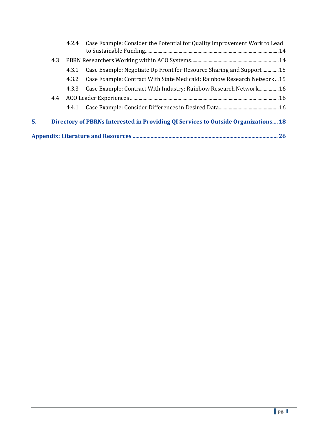|    |     |       | 4.2.4 Case Example: Consider the Potential for Quality Improvement Work to Lead    |  |  |  |
|----|-----|-------|------------------------------------------------------------------------------------|--|--|--|
|    | 4.3 |       |                                                                                    |  |  |  |
|    |     |       | 4.3.1 Case Example: Negotiate Up Front for Resource Sharing and Support15          |  |  |  |
|    |     | 4.3.2 | Case Example: Contract With State Medicaid: Rainbow Research Network15             |  |  |  |
|    |     | 4.3.3 | Case Example: Contract With Industry: Rainbow Research Network 16                  |  |  |  |
|    |     |       |                                                                                    |  |  |  |
|    |     | 4.4.1 |                                                                                    |  |  |  |
| 5. |     |       | Directory of PBRNs Interested in Providing QI Services to Outside Organizations 18 |  |  |  |
| 26 |     |       |                                                                                    |  |  |  |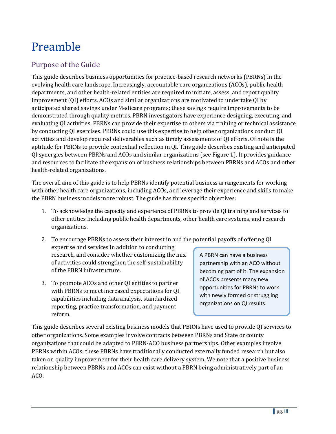# <span id="page-6-0"></span>Preamble

# Purpose of the Guide

This guide describes business opportunities for practice-based research networks (PBRNs) in the evolving health care landscape. Increasingly, accountable care organizations (ACOs), public health departments, and other health-related entities are required to initiate, assess, and report quality improvement (QI) efforts. ACOs and similar organizations are motivated to undertake QI by anticipated shared savings under Medicare programs; these savings require improvements to be demonstrated through quality metrics. PBRN investigators have experience designing, executing, and evaluating QI activities. PBRNs can provide their expertise to others via training or technical assistance by conducting QI exercises. PBRNs could use this expertise to help other organizations conduct QI activities and develop required deliverables such as timely assessments of QI efforts. Of note is the aptitude for PBRNs to provide contextual reflection in QI. This guide describes existing and anticipated QI synergies between PBRNs and ACOs and similar organizations (see Figure 1). It provides guidance and resources to facilitate the expansion of business relationships between PBRNs and ACOs and other health-related organizations.

The overall aim of this guide is to help PBRNs identify potential business arrangements for working with other health care organizations, including ACOs, and leverage their experience and skills to make the PBRN business models more robust. The guide has three specific objectives:

- 1. To acknowledge the capacity and experience of PBRNs to provide QI training and services to other entities including public health departments, other health care systems, and research organizations.
- 2. To encourage PBRNs to assess their interest in and the potential payoffs of offering QI expertise and services in addition to conducting research, and consider whether customizing the mix of activities could strengthen the self-sustainability of the PBRN infrastructure. A PBRN can have a business
- 3. To promote ACOs and other QI entities to partner with PBRNs to meet increased expectations for QI capabilities including data analysis, standardized reporting, practice transformation, and payment reform.

partnership with an ACO without becoming part of it. The expansion of ACOs presents many new opportunities for PBRNs to work with newly formed or struggling organizations on QI results.

This guide describes several existing business models that PBRNs have used to provide QI services to other organizations. Some examples involve contracts between PBRNs and State or county organizations that could be adapted to PBRN-ACO business partnerships. Other examples involve PBRNs within ACOs; these PBRNs have traditionally conducted externally funded research but also taken on quality improvement for their health care delivery system. We note that a positive business relationship between PBRNs and ACOs can exist without a PBRN being administratively part of an ACO.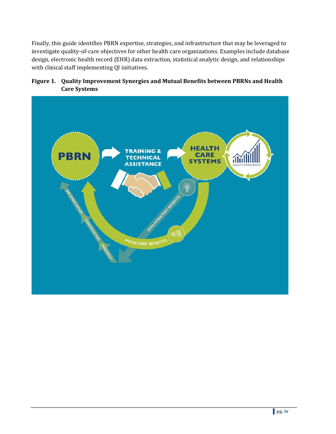Finally, this guide identifies PBRN expertise, strategies, and infrastructure that may be leveraged to investigate quality-of-care objectives for other health care organizations. Examples include database design, electronic health record (EHR) data extraction, statistical analytic design, and relationships with clinical staff implementing QI initiatives.



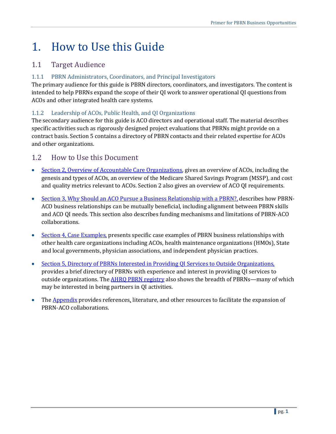# <span id="page-8-0"></span>1. How to Use this Guide

# 1.1 Target Audience

## 1.1.1 PBRN Administrators, Coordinators, and Principal Investigators

The primary audience for this guide is PBRN directors, coordinators, and investigators. The content is intended to help PBRNs expand the scope of their QI work to answer operational QI questions from ACOs and other integrated health care systems.

## 1.1.2 Leadership of ACOs, Public Health, and QI Organizations

The secondary audience for this guide is ACO directors and operational staff. The material describes specific activities such as rigorously designed project evaluations that PBRNs might provide on a contract basis. Section 5 contains a directory of PBRN contacts and their related expertise for ACOs and other organizations.

# 1.2 How to Use this Document

- [Section 2, Overview of Accountable Care Organizations,](#page-9-1) gives an overview of ACOs, including the genesis and types of ACOs, an overview of the Medicare Shared Savings Program (MSSP), and cost and quality metrics relevant to ACOs. Section 2 also gives an overview of ACO QI requirements.
- [Section 3, Why Should an ACO Pursue a Business Relationship with a PBRN?,](#page-15-1) describes how PBRN-ACO business relationships can be mutually beneficial, including alignment between PBRN skills and ACO QI needs. This section also describes funding mechanisms and limitations of PBRN-ACO collaborations.
- Section 4, Case [Examples,](#page-19-1) presents specific case examples of PBRN business relationships with other health care organizations including ACOs, health maintenance organizations (HMOs), State and local governments, physician associations, and independent physician practices.
- [Section 5, Directory of PBRNs Interested in Providing QI Services to Outside Organizations,](#page-25-1) provides a brief directory of PBRNs with experience and interest in providing QI services to outside organizations. The **AHRO PBRN registry** also shows the breadth of PBRNs—many of which may be interested in being partners in QI activities.
- The [Appendix](#page-33-1) provides references, literature, and other resources to facilitate the expansion of PBRN-ACO collaborations.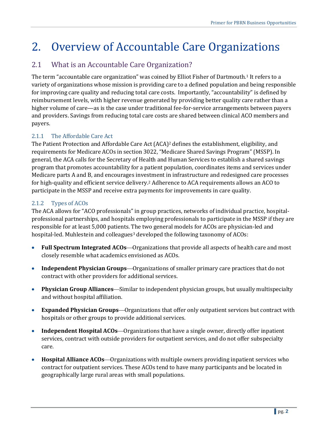# <span id="page-9-1"></span><span id="page-9-0"></span>2. Overview of Accountable Care Organizations

# 2.1 What is an Accountable Care Organization?

The term "accountable care organization" was coined by Elliot Fisher of Dartmouth[.1](#page-33-2) It refers to a variety of organizations whose mission is providing care to a defined population and being responsible for improving care quality and reducing total care costs. Importantly, "accountability" is defined by reimbursement levels, with higher revenue generated by providing better quality care rather than a higher volume of care—as is the case under traditional fee-for-service arrangements between payers and providers. Savings from reducing total care costs are shared between clinical ACO members and payers.

## 2.1.1 The Affordable Care Act

The Patient Protection and Affordable Care Act (ACA[\)2](#page-33-3) defines the establishment, eligibility, and requirements for Medicare ACOs in section 3022, "Medicare Shared Savings Program" (MSSP). In general, the ACA calls for the Secretary of Health and Human Services to establish a shared savings program that promotes accountability for a patient population, coordinates items and services under Medicare parts A and B, and encourages investment in infrastructure and redesigned care processes for high-quality and efficient service deliver[y.2](#page-33-3) Adherence to ACA requirements allows an ACO to participate in the MSSP and receive extra payments for improvements in care quality.

## 2.1.2 Types of ACOs

The ACA allows for "ACO professionals" in group practices, networks of individual practice, hospitalprofessional partnerships, and hospitals employing professionals to participate in the MSSP if they are responsible for at least 5,000 patients. The two general models for ACOs are physician-led and hospital-led. Muhlestein and colleagues<sup>3</sup> developed the following taxonomy of ACOs:

- **Full Spectrum Integrated ACOs**—Organizations that provide all aspects of health care and most closely resemble what academics envisioned as ACOs.
- **Independent Physician Groups**—Organizations of smaller primary care practices that do not contract with other providers for additional services.
- Physician Group Alliances—Similar to independent physician groups, but usually multispecialty and without hospital affiliation.
- **Expanded Physician Groups—Organizations that offer only outpatient services but contract with** hospitals or other groups to provide additional services.
- **Independent Hospital ACOs—Organizations that have a single owner, directly offer inpatient** services, contract with outside providers for outpatient services, and do not offer subspecialty care.
- **Hospital Alliance ACOs**—Organizations with multiple owners providing inpatient services who contract for outpatient services. These ACOs tend to have many participants and be located in geographically large rural areas with small populations.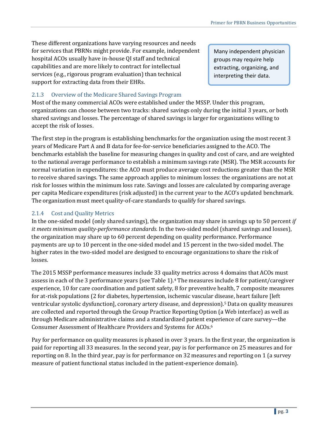<span id="page-10-0"></span>These different organizations have varying resources and needs for services that PBRNs might provide. For example, independent hospital ACOs usually have in-house QI staff and technical capabilities and are more likely to contract for intellectual services (e.g., rigorous program evaluation) than technical support for extracting data from their EHRs.

Many independent physician groups may require help extracting, organizing, and interpreting their data.

## 2.1.3 Overview of the Medicare Shared Savings Program

Most of the many commercial ACOs were established under the MSSP. Under this program, organizations can choose between two tracks: shared savings only during the initial 3 years, or both shared savings and losses. The percentage of shared savings is larger for organizations willing to accept the risk of losses.

The first step in the program is establishing benchmarks for the organization using the most recent 3 years of Medicare Part A and B data for fee-for-service beneficiaries assigned to the ACO. The benchmarks establish the baseline for measuring changes in quality and cost of care, and are weighted to the national average performance to establish a minimum savings rate (MSR). The MSR accounts for normal variation in expenditures: the ACO must produce average cost reductions greater than the MSR to receive shared savings. The same approach applies to minimum losses: the organizations are not at risk for losses within the minimum loss rate. Savings and losses are calculated by comparing average per capita Medicare expenditures (risk adjusted) in the current year to the ACO's updated benchmark. The organization must meet quality-of-care standards to qualify for shared savings.

#### 2.1.4 Cost and Quality Metrics

In the one-sided model (only shared savings), the organization may share in savings up to 50 percent *if it meets minimum quality-performance standards*. In the two-sided model (shared savings and losses), the organization may share up to 60 percent depending on quality performance. Performance payments are up to 10 percent in the one-sided model and 15 percent in the two-sided model. The higher rates in the two-sided model are designed to encourage organizations to share the risk of losses.

The 2015 MSSP performance measures include 33 quality metrics across 4 domains that ACOs must assess in each of the 3 performance years (see Table 1). [4](#page-33-5) The measures include 8 for patient/caregiver experience, 10 for care coordination and patient safety, 8 for preventive health, 7 composite measures for at-risk populations (2 for diabetes, hypertension, ischemic vascular disease, heart failure [left ventricular systolic dysfunction], coronary artery disease, and depression[\).5](#page-33-6) Data on quality measures are collected and reported through the Group Practice Reporting Option (a Web interface) as well as through Medicare administrative claims and a standardized patient experience of care survey—the Consumer Assessment of Healthcare Providers and Systems for ACOs. [6](#page-33-7)

Pay for performance on quality measures is phased in over 3 years. In the first year, the organization is paid for reporting all 33 measures. In the second year, pay is for performance on 25 measures and for reporting on 8. In the third year, pay is for performance on 32 measures and reporting on 1 (a survey measure of patient functional status included in the patient-experience domain).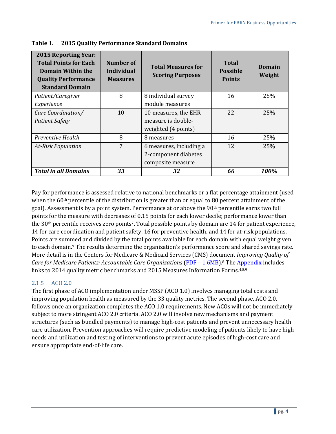| <b>2015 Reporting Year:</b><br><b>Total Points for Each</b><br><b>Domain Within the</b><br><b>Quality Performance</b><br><b>Standard Domain</b> | Number of<br><b>Individual</b><br><b>Measures</b> | <b>Total Measures for</b><br><b>Scoring Purposes</b> | <b>Total</b><br><b>Possible</b><br><b>Points</b> | Domain<br>Weight |
|-------------------------------------------------------------------------------------------------------------------------------------------------|---------------------------------------------------|------------------------------------------------------|--------------------------------------------------|------------------|
| Patient/Caregiver                                                                                                                               | 8                                                 | 8 individual survey                                  | 16                                               | 25%              |
| Experience                                                                                                                                      |                                                   | module measures                                      |                                                  |                  |
| Care Coordination/                                                                                                                              | 10                                                | 10 measures, the EHR                                 | 22                                               | 25%              |
| <b>Patient Safety</b>                                                                                                                           |                                                   | measure is double-                                   |                                                  |                  |
|                                                                                                                                                 |                                                   | weighted (4 points)                                  |                                                  |                  |
| Preventive Health                                                                                                                               | 8                                                 | 8 measures                                           | 16                                               | 25%              |
| <b>At-Risk Population</b>                                                                                                                       | 7                                                 | 6 measures, including a                              | 12                                               | 25%              |
|                                                                                                                                                 |                                                   | 2-component diabetes                                 |                                                  |                  |
|                                                                                                                                                 |                                                   | composite measure                                    |                                                  |                  |
| <b>Total in all Domains</b>                                                                                                                     | 33                                                | 32                                                   | 66                                               | 100%             |

<span id="page-11-0"></span>**Table 1. 2015 Quality Performance Standard Domains**

Pay for performance is assessed relative to national benchmarks or a flat percentage attainment (used when the  $60<sup>th</sup>$  percentile of the distribution is greater than or equal to 80 percent attainment of the goal). Assessment is by a point system. Performance at or above the 90<sup>th</sup> percentile earns two full points for the measure with decreases of 0.15 points for each lower decile; performance lower than the 30th percentile receives zero point[s7.](#page-33-8) Total possible points by domain are 14 for patient experience, 14 for care coordination and patient safety, 16 for preventive health, and 14 for at-risk populations. Points are summed and divided by the total points available for each domain with equal weight given to each domain. [7](#page-33-8) The results determine the organization's performance score and shared savings rate. More detail is in the Centers for Medicare & Medicaid Services (CMS) document *Improving Quality of Care for Medicare Patients: Accountable Care Organizations* [\(PDF – 1.6MB\)](http://www.cms.gov/Medicare/Medicare-Fee-for-Service-Payment/sharedsavingsprogram/Downloads/ACO_Quality_Factsheet_ICN907407.pdf)[.8](#page-33-9) The [Appendix](#page-33-1) includes links to 2014 quality metric benchmarks and 2015 Measures Information Forms[.4,](#page-33-5)[5,](#page-33-6)[9](#page-33-10)

## 2.1.5 ACO 2.0

The first phase of ACO implementation under MSSP (ACO 1.0) involves managing total costs and improving population health as measured by the 33 quality metrics. The second phase, ACO 2.0, follows once an organization completes the ACO 1.0 requirements. New ACOs will not be immediately subject to more stringent ACO 2.0 criteria. ACO 2.0 will involve new mechanisms and payment structures (such as bundled payments) to manage high-cost patients and prevent unnecessary health care utilization. Prevention approaches will require predictive modeling of patients likely to have high needs and utilization and testing of interventions to prevent acute episodes of high-cost care and ensure appropriate end-of-life care.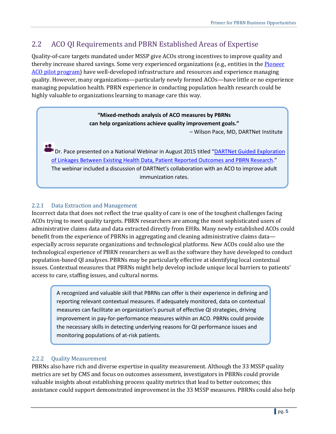# <span id="page-12-0"></span>2.2 ACO QI Requirements and PBRN Established Areas of Expertise

Quality-of-care targets mandated under MSSP give ACOs strong incentives to improve quality and thereby increase shared savings. Some very experienced organizations (e.g., entities in the [Pioneer](http://innovation.cms.gov/initiatives/Pioneer-aco-model/)  [ACO pilot program\)](http://innovation.cms.gov/initiatives/Pioneer-aco-model/) have well-developed infrastructure and resources and experience managing quality. However, many organizations—particularly newly formed ACOs—have little or no experience managing population health. PBRN experience in conducting population health research could be highly valuable to organizations learning to manage care this way.

#### **"Mixed-methods analysis of ACO measures by PBRNs can help organizations achieve quality improvement goals."**

– Wilson Pace, MD, DARTNet Institute

**Dr.** Pace presented on a National Webinar in August 2015 titled "**DARTNet Guided Exploration** of Linkages Between [Existing Health Data, Patient Reported Outcomes and PBRN Research.](https://pbrn.ahrq.gov/events/dartnet-guided-exploration-linkages-between-existing-health-data-patient-reported-outcomes)" The webinar included a discussion of DARTNet's collaboration with an ACO to improve adult immunization rates.

## 2.2.1 Data Extraction and Management

Incorrect data that does not reflect the true quality of care is one of the toughest challenges facing ACOs trying to meet quality targets. PBRN researchers are among the most sophisticated users of administrative claims data and data extracted directly from EHRs. Many newly established ACOs could benefit from the experience of PBRNs in aggregating and cleaning administrative claims data especially across separate organizations and technological platforms. New ACOs could also use the technological experience of PBRN researchers as well as the software they have developed to conduct population-based QI analyses. PBRNs may be particularly effective at identifying local contextual issues. Contextual measures that PBRNs might help develop include unique local barriers to patients' access to care, staffing issues, and cultural norms.

A recognized and valuable skill that PBRNs can offer is their experience in defining and reporting relevant contextual measures. If adequately monitored, data on contextual measures can facilitate an organization's pursuit of effective QI strategies, driving improvement in pay-for-performance measures within an ACO. PBRNs could provide the necessary skills in detecting underlying reasons for QI performance issues and monitoring populations of at-risk patients.

## 2.2.2 Quality Measurement

PBRNs also have rich and diverse expertise in quality measurement. Although the 33 MSSP quality metrics are set by CMS and focus on outcomes assessment, investigators in PBRNs could provide valuable insights about establishing process quality metrics that lead to better outcomes; this assistance could support demonstrated improvement in the 33 MSSP measures. PBRNs could also help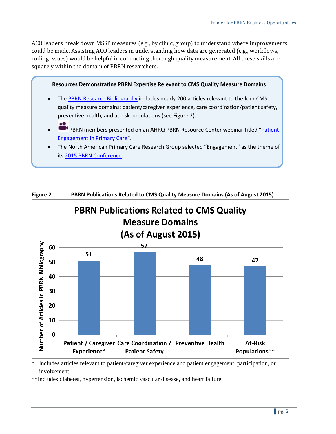<span id="page-13-0"></span>ACO leaders break down MSSP measures (e.g., by clinic, group) to understand where improvements could be made. Assisting ACO leaders in understanding how data are generated (e.g., workflows, coding issues) would be helpful in conducting thorough quality measurement. All these skills are squarely within the domain of PBRN researchers.





**Figure 2. PBRN Publications Related to CMS Quality Measure Domains (As of August 2015)**

Includes articles relevant to patient/caregiver experience and patient engagement, participation, or involvement.

\*\*Includes diabetes, hypertension, ischemic vascular disease, and heart failure.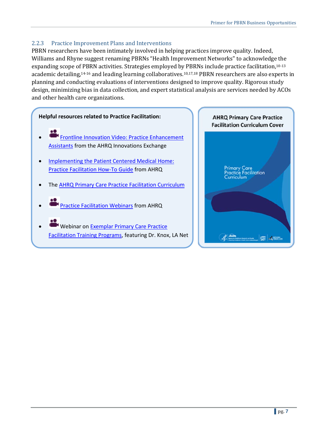#### 2.2.3 Practice Improvement Plans and Interventions

PBRN researchers have been intimately involved in helping practices improve quality. Indeed, Williams and Rhyne suggest renaming PBRNs "Health Improvement Networks" to acknowledge the expanding scope of PBRN activities. Strategies employed by PBRNs include practice facilitation, [10-13](#page-33-11) academic detailing,<sup>[14-16](#page-33-12)</sup> and leading learning collaboratives.<sup>[10,](#page-33-11)[17,](#page-34-0)[18](#page-34-1)</sup> PBRN researchers are also experts in planning and conducting evaluations of interventions designed to improve quality. Rigorous study design, minimizing bias in data collection, and expert statistical analysis are services needed by ACOs and other health care organizations.

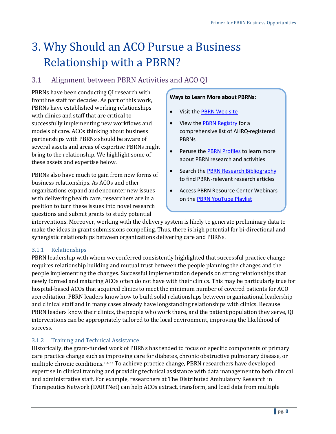# <span id="page-15-1"></span><span id="page-15-0"></span>3. Why Should an ACO Pursue a Business Relationship with a PBRN?

# 3.1 Alignment between PBRN Activities and ACO QI

PBRNs have been conducting QI research with frontline staff for decades. As part of this work, PBRNs have established working relationships with clinics and staff that are critical to successfully implementing new workflows and models of care. ACOs thinking about business partnerships with PBRNs should be aware of several assets and areas of expertise PBRNs might bring to the relationship. We highlight some of these assets and expertise below.

PBRNs also have much to gain from new forms of business relationships. As ACOs and other organizations expand and encounter new issues with delivering health care, researchers are in a position to turn these issues into novel research questions and submit grants to study potential

#### **Ways to Learn More about PBRNs:**

- Visit th[e PBRN Web](https://pbrn.ahrq.gov/) site
- View the [PBRN Registry](http://pbrn.ahrq.gov/pbrn-registry) for a comprehensive list of AHRQ-registered PBRNs
- Peruse the [PBRN Profiles](http://pbrn.ahrq.gov/pbrn-profiles) to learn more about PBRN research and activities
- Search the [PBRN Research Bibliography](https://pbrn.ahrq.gov/tools-and-resources/pbrn-literature) to find PBRN-relevant research articles
- Access PBRN Resource Center Webinars on the **PBRN YouTube Playlist**

interventions. Moreover, working with the delivery system is likely to generate preliminary data to make the ideas in grant submissions compelling. Thus, there is high potential for bi-directional and synergistic relationships between organizations delivering care and PBRNs.

#### 3.1.1 Relationships

PBRN leadership with whom we conferred consistently highlighted that successful practice change requires relationship building and mutual trust between the people planning the changes and the people implementing the changes. Successful implementation depends on strong relationships that newly formed and maturing ACOs often do not have with their clinics. This may be particularly true for hospital-based ACOs that acquired clinics to meet the minimum number of covered patients for ACO accreditation. PBRN leaders know how to build solid relationships between organizational leadership and clinical staff and in many cases already have longstanding relationships with clinics. Because PBRN leaders know their clinics, the people who work there, and the patient population they serve, QI interventions can be appropriately tailored to the local environment, improving the likelihood of success.

## 3.1.2 Training and Technical Assistance

Historically, the grant-funded work of PBRNs has tended to focus on specific components of primary care practice change such as improving care for diabetes, chronic obstructive pulmonary disease, or multiple chronic conditions[.19-23](#page-34-2) To achieve practice change, PBRN researchers have developed expertise in clinical training and providing technical assistance with data management to both clinical and administrative staff. For example, researchers at The Distributed Ambulatory Research in Therapeutics Network (DARTNet) can help ACOs extract, transform, and load data from multiple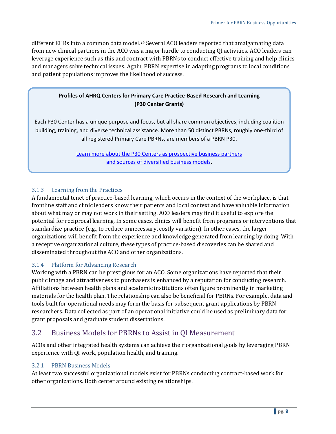<span id="page-16-0"></span>different EHRs into a common data model[.24](#page-34-3) Several ACO leaders reported that amalgamating data from new clinical partners in the ACO was a major hurdle to conducting QI activities. ACO leaders can leverage experience such as this and contract with PBRNs to conduct effective training and help clinics and managers solve technical issues. Again, PBRN expertise in adapting programs to local conditions and patient populations improves the likelihood of success.

## **Profiles of AHRQ Centers for Primary Care Practice-Based Research and Learning (P30 Center Grants)**

Each P30 Center has a unique purpose and focus, but all share common objectives, including coalition building, training, and diverse technical assistance. More than 50 distinct PBRNs, roughly one-third of all registered Primary Care PBRNs, are members of a PBRN P30.

> [Learn more about the P30 Centers as prospective business partners](http://pbrn.ahrq.gov/pbrn-profiles/p30-centers)  [and sources of diversified business models.](http://pbrn.ahrq.gov/pbrn-profiles/p30-centers)

## 3.1.3 Learning from the Practices

A fundamental tenet of practice-based learning, which occurs in the context of the workplace, is that frontline staff and clinic leaders know their patients and local context and have valuable information about what may or may not work in their setting. ACO leaders may find it useful to explore the potential for reciprocal learning. In some cases, clinics will benefit from programs or interventions that standardize practice (e.g., to reduce unnecessary, costly variation). In other cases, the larger organizations will benefit from the experience and knowledge generated from learning by doing. With a receptive organizational culture, these types of practice-based discoveries can be shared and disseminated throughout the ACO and other organizations.

## 3.1.4 Platform for Advancing Research

Working with a PBRN can be prestigious for an ACO. Some organizations have reported that their public image and attractiveness to purchasers is enhanced by a reputation for conducting research. Affiliations between health plans and academic institutions often figure prominently in marketing materials for the health plan. The relationship can also be beneficial for PBRNs. For example, data and tools built for operational needs may form the basis for subsequent grant applications by PBRN researchers. Data collected as part of an operational initiative could be used as preliminary data for grant proposals and graduate student dissertations.

# 3.2 Business Models for PBRNs to Assist in QI Measurement

ACOs and other integrated health systems can achieve their organizational goals by leveraging PBRN experience with QI work, population health, and training.

## 3.2.1 PBRN Business Models

At least two successful organizational models exist for PBRNs conducting contract-based work for other organizations. Both center around existing relationships.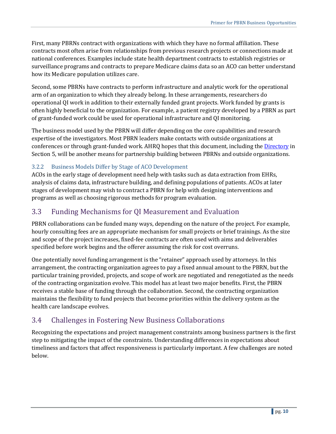<span id="page-17-0"></span>First, many PBRNs contract with organizations with which they have no formal affiliation. These contracts most often arise from relationships from previous research projects or connections made at national conferences. Examples include state health department contracts to establish registries or surveillance programs and contracts to prepare Medicare claims data so an ACO can better understand how its Medicare population utilizes care.

Second, some PBRNs have contracts to perform infrastructure and analytic work for the operational arm of an organization to which they already belong. In these arrangements, researchers do operational QI work in addition to their externally funded grant projects. Work funded by grants is often highly beneficial to the organization. For example, a patient registry developed by a PBRN as part of grant-funded work could be used for operational infrastructure and QI monitoring.

The business model used by the PBRN will differ depending on the core capabilities and research expertise of the investigators. Most PBRN leaders make contacts with outside organizations at conferences or through grant-funded work. AHRQ hopes that this document, including th[e Directory](#page-25-1) in Section 5, will be another means for partnership building between PBRNs and outside organizations.

## 3.2.2 Business Models Differ by Stage of ACO Development

ACOs in the early stage of development need help with tasks such as data extraction from EHRs, analysis of claims data, infrastructure building, and defining populations of patients. ACOs at later stages of development may wish to contract a PBRN for help with designing interventions and programs as well as choosing rigorous methods for program evaluation.

# 3.3 Funding Mechanisms for QI Measurement and Evaluation

PBRN collaborations can be funded many ways, depending on the nature of the project. For example, hourly consulting fees are an appropriate mechanism for small projects or brief trainings. As the size and scope of the project increases, fixed-fee contracts are often used with aims and deliverables specified before work begins and the offerer assuming the risk for cost overruns.

One potentially novel funding arrangement is the "retainer" approach used by attorneys. In this arrangement, the contracting organization agrees to pay a fixed annual amount to the PBRN, but the particular training provided, projects, and scope of work are negotiated and renegotiated as the needs of the contracting organization evolve. This model has at least two major benefits. First, the PBRN receives a stable base of funding through the collaboration. Second, the contracting organization maintains the flexibility to fund projects that become priorities within the delivery system as the health care landscape evolves.

# 3.4 Challenges in Fostering New Business Collaborations

Recognizing the expectations and project management constraints among business partners is the first step to mitigating the impact of the constraints. Understanding differences in expectations about timeliness and factors that affect responsiveness is particularly important. A few challenges are noted below.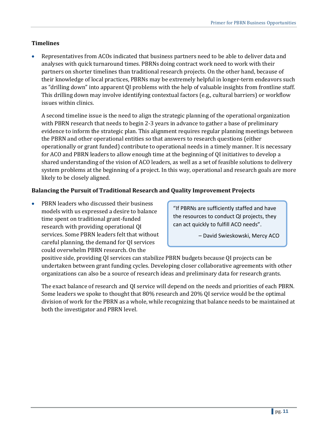#### **Timelines**

• Representatives from ACOs indicated that business partners need to be able to deliver data and analyses with quick turnaround times. PBRNs doing contract work need to work with their partners on shorter timelines than traditional research projects. On the other hand, because of their knowledge of local practices, PBRNs may be extremely helpful in longer-term endeavors such as "drilling down" into apparent QI problems with the help of valuable insights from frontline staff. This drilling down may involve identifying contextual factors (e.g., cultural barriers) or workflow issues within clinics.

A second timeline issue is the need to align the strategic planning of the operational organization with PBRN research that needs to begin 2-3 years in advance to gather a base of preliminary evidence to inform the strategic plan. This alignment requires regular planning meetings between the PBRN and other operational entities so that answers to research questions (either operationally or grant funded) contribute to operational needs in a timely manner. It is necessary for ACO and PBRN leaders to allow enough time at the beginning of QI initiatives to develop a shared understanding of the vision of ACO leaders, as well as a set of feasible solutions to delivery system problems at the beginning of a project. In this way, operational and research goals are more likely to be closely aligned.

#### **Balancing the Pursuit of Traditional Research and Quality Improvement Projects**

• PBRN leaders who discussed their business models with us expressed a desire to balance time spent on traditional grant-funded research with providing operational QI services. Some PBRN leaders felt that without careful planning, the demand for QI services could overwhelm PBRN research. On the

"If PBRNs are sufficiently staffed and have the resources to conduct QI projects, they can act quickly to fulfill ACO needs".

– David Swieskowski, Mercy ACO

positive side, providing QI services can stabilize PBRN budgets because QI projects can be undertaken between grant funding cycles. Developing closer collaborative agreements with other organizations can also be a source of research ideas and preliminary data for research grants.

The exact balance of research and QI service will depend on the needs and priorities of each PBRN. Some leaders we spoke to thought that 80% research and 20% QI service would be the optimal division of work for the PBRN as a whole, while recognizing that balance needs to be maintained at both the investigator and PBRN level.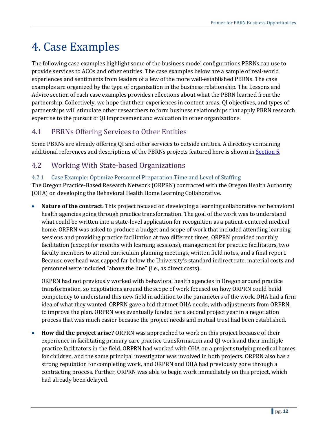# <span id="page-19-1"></span><span id="page-19-0"></span>4. Case Examples

The following case examples highlight some of the business model configurations PBRNs can use to provide services to ACOs and other entities. The case examples below are a sample of real-world experiences and sentiments from leaders of a few of the more well-established PBRNs. The case examples are organized by the type of organization in the business relationship. The Lessons and Advice section of each case examples provides reflections about what the PBRN learned from the partnership. Collectively, we hope that their experiences in content areas, QI objectives, and types of partnerships will stimulate other researchers to form business relationships that apply PBRN research expertise to the pursuit of QI improvement and evaluation in other organizations.

# 4.1 PBRNs Offering Services to Other Entities

Some PBRNs are already offering QI and other services to outside entities. A directory containing additional references and descriptions of the PBRNs projects featured here is shown in **Section 5**.

# 4.2 Working With State-based Organizations

## 4.2.1 Case Example: Optimize Personnel Preparation Time and Level of Staffing

The Oregon Practice-Based Research Network (ORPRN) contracted with the Oregon Health Authority (OHA) on developing the Behavioral Health Home Learning Collaborative.

• **Nature of the contract.** This project focused on developing a learning collaborative for behavioral health agencies going through practice transformation. The goal of the work was to understand what could be written into a state-level application for recognition as a patient-centered medical home. ORPRN was asked to produce a budget and scope of work that included attending learning sessions and providing practice facilitation at two different times. ORPRN provided monthly facilitation (except for months with learning sessions), management for practice facilitators, two faculty members to attend curriculum planning meetings, written field notes, and a final report. Because overhead was capped far below the University's standard indirect rate, material costs and personnel were included "above the line" (i.e., as direct costs).

ORPRN had not previously worked with behavioral health agencies in Oregon around practice transformation, so negotiations around the scope of work focused on how ORPRN could build competency to understand this new field in addition to the parameters of the work. OHA had a firm idea of what they wanted. ORPRN gave a bid that met OHA needs, with adjustments from ORPRN, to improve the plan. ORPRN was eventually funded for a second project year in a negotiation process that was much easier because the project needs and mutual trust had been established.

• **How did the project arise?** ORPRN was approached to work on this project because of their experience in facilitating primary care practice transformation and QI work and their multiple practice facilitators in the field. ORPRN had worked with OHA on a project studying medical homes for children, and the same principal investigator was involved in both projects. ORPRN also has a strong reputation for completing work, and ORPRN and OHA had previously gone through a contracting process. Further, ORPRN was able to begin work immediately on this project, which had already been delayed.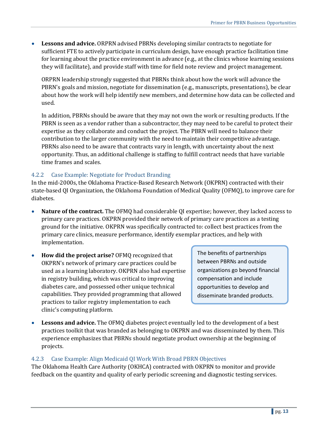<span id="page-20-0"></span>• **Lessons and advice.** ORPRN advised PBRNs developing similar contracts to negotiate for sufficient FTE to actively participate in curriculum design, have enough practice facilitation time for learning about the practice environment in advance (e.g., at the clinics whose learning sessions they will facilitate), and provide staff with time for field note review and project management.

ORPRN leadership strongly suggested that PBRNs think about how the work will advance the PBRN's goals and mission, negotiate for dissemination (e.g., manuscripts, presentations), be clear about how the work will help identify new members, and determine how data can be collected and used.

In addition, PBRNs should be aware that they may not own the work or resulting products. If the PBRN is seen as a vendor rather than a subcontractor, they may need to be careful to protect their expertise as they collaborate and conduct the project. The PBRN will need to balance their contribution to the larger community with the need to maintain their competitive advantage. PBRNs also need to be aware that contracts vary in length, with uncertainty about the next opportunity. Thus, an additional challenge is staffing to fulfill contract needs that have variable time frames and scales.

## 4.2.2 Case Example: Negotiate for Product Branding

In the mid-2000s, the Oklahoma Practice-Based Research Network (OKPRN) contracted with their state-based QI Organization, the Oklahoma Foundation of Medical Quality (OFMQ), to improve care for diabetes.

- **Nature of the contract.** The OFMQ had considerable QI expertise; however, they lacked access to primary care practices. OKPRN provided their network of primary care practices as a testing ground for the initiative. OKPRN was specifically contracted to: collect best practices from the primary care clinics, measure performance, identify exemplar practices, and help with implementation.
- **How did the project arise?** OFMQ recognized that OKPRN's network of primary care practices could be used as a learning laboratory. OKPRN also had expertise in registry building, which was critical to improving diabetes care, and possessed other unique technical capabilities. They provided programming that allowed practices to tailor registry implementation to each clinic's computing platform.

The benefits of partnerships between PBRNs and outside organizations go beyond financial compensation and include opportunities to develop and disseminate branded products.

• **Lessons and advice.** The OFMQ diabetes project eventually led to the development of a best practices toolkit that was branded as belonging to OKPRN and was disseminated by them. This experience emphasizes that PBRNs should negotiate product ownership at the beginning of projects.

## 4.2.3 Case Example: Align Medicaid QI Work With Broad PBRN Objectives

The Oklahoma Health Care Authority (OKHCA) contracted with OKPRN to monitor and provide feedback on the quantity and quality of early periodic screening and diagnostic testing services.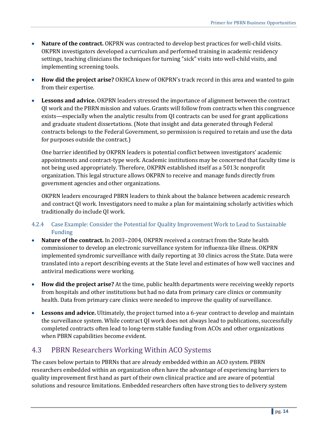- <span id="page-21-0"></span>• **Nature of the contract.** OKPRN was contracted to develop best practices for well-child visits. OKPRN investigators developed a curriculum and performed training in academic residency settings, teaching clinicians the techniques for turning "sick" visits into well-child visits, and implementing screening tools.
- **How did the project arise?** OKHCA knew of OKPRN's track record in this area and wanted to gain from their expertise.
- **Lessons and advice.** OKPRN leaders stressed the importance of alignment between the contract QI work and the PBRN mission and values. Grants will follow from contracts when this congruence exists—especially when the analytic results from QI contracts can be used for grant applications and graduate student dissertations. (Note that insight and data generated through Federal contracts belongs to the Federal Government, so permission is required to retain and use the data for purposes outside the contract.)

One barrier identified by OKPRN leaders is potential conflict between investigators' academic appointments and contract-type work. Academic institutions may be concerned that faculty time is not being used appropriately. Therefore, OKPRN established itself as a 5013c nonprofit organization. This legal structure allows OKPRN to receive and manage funds directly from government agencies and other organizations.

OKPRN leaders encouraged PBRN leaders to think about the balance between academic research and contract QI work. Investigators need to make a plan for maintaining scholarly activities which traditionally do include QI work.

- 4.2.4 Case Example: Consider the Potential for Quality Improvement Work to Lead to Sustainable Funding
- **Nature of the contract.** In 2003–2004, OKPRN received a contract from the State health commissioner to develop an electronic surveillance system for influenza-like illness. OKPRN implemented syndromic surveillance with daily reporting at 30 clinics across the State. Data were translated into a report describing events at the State level and estimates of how well vaccines and antiviral medications were working.
- **How did the project arise?** At the time, public health departments were receiving weekly reports from hospitals and other institutions but had no data from primary care clinics or community health. Data from primary care clinics were needed to improve the quality of surveillance.
- **Lessons and advice.** Ultimately, the project turned into a 6-year contract to develop and maintain the surveillance system. While contract QI work does not always lead to publications, successfully completed contracts often lead to long-term stable funding from ACOs and other organizations when PBRN capabilities become evident.

# 4.3 PBRN Researchers Working Within ACO Systems

The cases below pertain to PBRNs that are already embedded within an ACO system. PBRN researchers embedded within an organization often have the advantage of experiencing barriers to quality improvement first hand as part of their own clinical practice and are aware of potential solutions and resource limitations. Embedded researchers often have strong ties to delivery system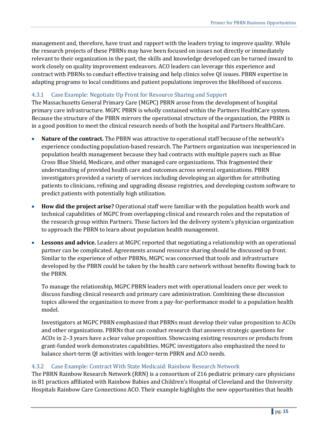<span id="page-22-0"></span>management and, therefore, have trust and rapport with the leaders trying to improve quality. While the research projects of these PBRNs may have been focused on issues not directly or immediately relevant to their organization in the past, the skills and knowledge developed can be turned inward to work closely on quality improvement endeavors. ACO leaders can leverage this experience and contract with PBRNs to conduct effective training and help clinics solve QI issues. PBRN expertise in adapting programs to local conditions and patient populations improves the likelihood of success.

## 4.3.1 Case Example: Negotiate Up Front for Resource Sharing and Support

The Massachusetts General Primary Care (MGPC) PBRN arose from the development of hospital primary care infrastructure. MGPC PBRN is wholly contained within the Partners HealthCare system. Because the structure of the PBRN mirrors the operational structure of the organization, the PBRN is in a good position to meet the clinical research needs of both the hospital and Partners HealthCare.

- **Nature of the contract.** The PBRN was attractive to operational staff because of the network's experience conducting population-based research. The Partners organization was inexperienced in population health management because they had contracts with multiple payers such as Blue Cross Blue Shield, Medicare, and other managed care organizations. This fragmented their understanding of provided health care and outcomes across several organizations. PBRN investigators provided a variety of services including developing an algorithm for attributing patients to clinicians, refining and upgrading disease registries, and developing custom software to predict patients with potentially high utilization.
- **How did the project arise?** Operational staff were familiar with the population health work and technical capabilities of MGPC from overlapping clinical and research roles and the reputation of the research group within Partners. These factors led the delivery system's physician organization to approach the PBRN to learn about population health management.
- **Lessons and advice.** Leaders at MGPC reported that negotiating a relationship with an operational partner can be complicated. Agreements around resource sharing should be discussed up front. Similar to the experience of other PBRNs, MGPC was concerned that tools and infrastructure developed by the PBRN could be taken by the health care network without benefits flowing back to the PBRN.

To manage the relationship, MGPC PBRN leaders met with operational leaders once per week to discuss funding clinical research and primary care administration. Combining these discussion topics allowed the organization to move from a pay-for-performance model to a population health model.

Investigators at MGPC PBRN emphasized that PBRNs must develop their value proposition to ACOs and other organizations. PBRNs that can conduct research that answers strategic questions for ACOs in 2–3 years have a clear value proposition. Showcasing existing resources or products from grant-funded work demonstrates capabilities. MGPC investigators also emphasized the need to balance short-term QI activities with longer-term PBRN and ACO needs.

## 4.3.2 Case Example: Contract With State Medicaid: Rainbow Research Network

The PBRN Rainbow Research Network (RRN) is a consortium of 216 pediatric primary care physicians in 81 practices affiliated with Rainbow Babies and Children's Hospital of Cleveland and the University Hospitals Rainbow Care Connections ACO. Their example highlights the new opportunities that health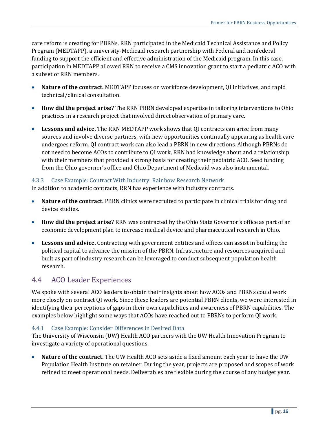<span id="page-23-0"></span>care reform is creating for PBRNs. RRN participated in the Medicaid Technical Assistance and Policy Program (MEDTAPP), a university-Medicaid research partnership with Federal and nonfederal funding to support the efficient and effective administration of the Medicaid program. In this case, participation in MEDTAPP allowed RRN to receive a CMS innovation grant to start a pediatric ACO with a subset of RRN members.

- **Nature of the contract.** MEDTAPP focuses on workforce development, QI initiatives, and rapid technical/clinical consultation.
- **How did the project arise?** The RRN PBRN developed expertise in tailoring interventions to Ohio practices in a research project that involved direct observation of primary care.
- **Lessons and advice.** The RRN MEDTAPP work shows that QI contracts can arise from many sources and involve diverse partners, with new opportunities continually appearing as health care undergoes reform. QI contract work can also lead a PBRN in new directions. Although PBRNs do not need to become ACOs to contribute to QI work, RRN had knowledge about and a relationship with their members that provided a strong basis for creating their pediatric ACO. Seed funding from the Ohio governor's office and Ohio Department of Medicaid was also instrumental.

## 4.3.3 Case Example: Contract With Industry: Rainbow Research Network

In addition to academic contracts, RRN has experience with industry contracts.

- **Nature of the contract.** PBRN clinics were recruited to participate in clinical trials for drug and device studies.
- **How did the project arise?** RRN was contracted by the Ohio State Governor's office as part of an economic development plan to increase medical device and pharmaceutical research in Ohio.
- **Lessons and advice.** Contracting with government entities and offices can assist in building the political capital to advance the mission of the PBRN. Infrastructure and resources acquired and built as part of industry research can be leveraged to conduct subsequent population health research.

## 4.4 ACO Leader Experiences

We spoke with several ACO leaders to obtain their insights about how ACOs and PBRNs could work more closely on contract QI work. Since these leaders are potential PBRN clients, we were interested in identifying their perceptions of gaps in their own capabilities and awareness of PBRN capabilities. The examples below highlight some ways that ACOs have reached out to PBRNs to perform QI work.

#### 4.4.1 Case Example: Consider Differences in Desired Data

The University of Wisconsin (UW) Health ACO partners with the UW Health Innovation Program to investigate a variety of operational questions.

• **Nature of the contract.** The UW Health ACO sets aside a fixed amount each year to have the UW Population Health Institute on retainer. During the year, projects are proposed and scopes of work refined to meet operational needs. Deliverables are flexible during the course of any budget year.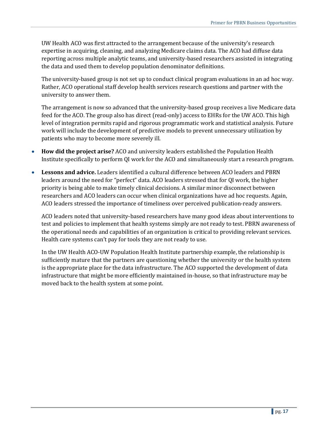UW Health ACO was first attracted to the arrangement because of the university's research expertise in acquiring, cleaning, and analyzing Medicare claims data. The ACO had diffuse data reporting across multiple analytic teams, and university-based researchers assisted in integrating the data and used them to develop population denominator definitions.

The university-based group is not set up to conduct clinical program evaluations in an ad hoc way. Rather, ACO operational staff develop health services research questions and partner with the university to answer them.

The arrangement is now so advanced that the university-based group receives a live Medicare data feed for the ACO. The group also has direct (read-only) access to EHRs for the UW ACO. This high level of integration permits rapid and rigorous programmatic work and statistical analysis. Future work will include the development of predictive models to prevent unnecessary utilization by patients who may to become more severely ill.

- **How did the project arise?** ACO and university leaders established the Population Health Institute specifically to perform QI work for the ACO and simultaneously start a research program.
- **Lessons and advice.** Leaders identified a cultural difference between ACO leaders and PBRN leaders around the need for "perfect" data. ACO leaders stressed that for QI work, the higher priority is being able to make timely clinical decisions. A similar minor disconnect between researchers and ACO leaders can occur when clinical organizations have ad hoc requests. Again, ACO leaders stressed the importance of timeliness over perceived publication-ready answers.

ACO leaders noted that university-based researchers have many good ideas about interventions to test and policies to implement that health systems simply are not ready to test. PBRN awareness of the operational needs and capabilities of an organization is critical to providing relevant services. Health care systems can't pay for tools they are not ready to use.

In the UW Health ACO-UW Population Health Institute partnership example, the relationship is sufficiently mature that the partners are questioning whether the university or the health system is the appropriate place for the data infrastructure. The ACO supported the development of data infrastructure that might be more efficiently maintained in-house, so that infrastructure may be moved back to the health system at some point.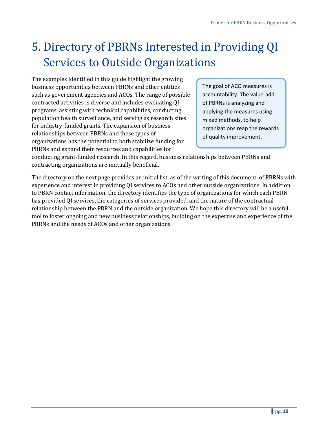# <span id="page-25-1"></span><span id="page-25-0"></span>5. Directory of PBRNs Interested in Providing QI Services to Outside Organizations

The examples identified in this guide highlight the growing business opportunities between PBRNs and other entities such as government agencies and ACOs. The range of possible contracted activities is diverse and includes evaluating QI programs, assisting with technical capabilities, conducting population health surveillance, and serving as research sites for industry-funded grants. The expansion of business relationships between PBRNs and these types of organizations has the potential to both stabilize funding for PBRNs and expand their resources and capabilities for

The goal of ACO measures is accountability. The value-add of PBRNs is analyzing and applying the measures using mixed methods, to help organizations reap the rewards of quality improvement.

conducting grant-funded research. In this regard, business relationships between PBRNs and contracting organizations are mutually beneficial.

The directory on the next page provides an initial list, as of the writing of this document, of PBRNs with experience and interest in providing QI services to ACOs and other outside organizations. In addition to PBRN contact information, the directory identifies the type of organizations for which each PBRN has provided QI services, the categories of services provided, and the nature of the contractual relationship between the PBRN and the outside organization. We hope this directory will be a useful tool to foster ongoing and new business relationships, building on the expertise and experience of the PBRNs and the needs of ACOs and other organizations.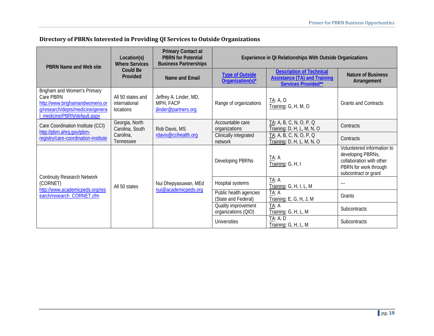## **Directory of PBRNs Interested in Providing QI Services to Outside Organizations**

| <b>PBRN Name and Web site</b>                                                                                                                | Location(s)<br><b>Where Services</b>                   | <b>Primary Contact at</b><br><b>PBRN</b> for Potential<br><b>Business Partnerships</b> | Experience in QI Relationships With Outside Organizations |                                                                                               |                                                                                                                              |
|----------------------------------------------------------------------------------------------------------------------------------------------|--------------------------------------------------------|----------------------------------------------------------------------------------------|-----------------------------------------------------------|-----------------------------------------------------------------------------------------------|------------------------------------------------------------------------------------------------------------------------------|
|                                                                                                                                              | <b>Could Be</b><br>Provided                            | Name and Email                                                                         | <b>Type of Outside</b><br>Organization(s)*                | <b>Description of Technical</b><br><b>Assistance (TA) and Training</b><br>Services Provided** | <b>Nature of Business</b><br>Arrangement                                                                                     |
| Brigham and Women's Primary<br>Care PBRN<br>http://www.brighamandwomens.or<br>g/research/depts/medicine/genera<br>medicine/PBRN/default.aspx | All 50 states and<br>international<br><b>locations</b> | Jeffrey A. Linder, MD,<br>MPH, FACP<br>jlinder@partners.org                            | Range of organizations                                    | TA: A, O<br>Training: G, H, M, O                                                              | <b>Grants and Contracts</b>                                                                                                  |
| Care Coordination Institute (CCI)                                                                                                            | Georgia, North<br>Carolina, South                      | Rob Davis, MS                                                                          | Accountable care<br>organizations                         | TA: A, B, C, N, O, P, Q<br>Training: D, H, L, M, N, O                                         | Contracts                                                                                                                    |
| http://pbrn.ahrq.gov/pbrn-<br>registry/care-coordination-institute                                                                           | Carolina,<br>Tennessee                                 | rdavis@ccihealth.org                                                                   | Clinically integrated<br>network                          | $\overline{IA}$ : A, B, C, N, O, P, Q<br>Training: D, H, L, M, N, O                           | Contracts                                                                                                                    |
|                                                                                                                                              |                                                        |                                                                                        | Developing PBRNs                                          | TA: A<br>Training: G, H, I                                                                    | Volunteered information to<br>developing PBRNs,<br>collaboration with other<br>PBRN for work through<br>subcontract or grant |
| <b>Continuity Research Network</b><br>(CORNET)<br>http://www.academicpeds.org/res<br>earch/research_CORNET.cfm                               | All 50 states                                          | Nui Dhepyasuwan, MEd                                                                   | Hospital systems                                          | <u>TA</u> : A<br>Training: G, H, I, L, M                                                      | $---$                                                                                                                        |
|                                                                                                                                              |                                                        | nui@academicpeds.org                                                                   | Public health agencies<br>(State and Federal)             | TA: A<br>Training: E, G, H, J, M                                                              | Grants                                                                                                                       |
|                                                                                                                                              |                                                        |                                                                                        | Quality improvement<br>organizations (QIO)                | TA: A<br>Training: G, H, L, M                                                                 | Subcontracts                                                                                                                 |
|                                                                                                                                              |                                                        |                                                                                        | <b>Universities</b>                                       | TA: A, D<br>Training: G, H, L, M                                                              | <b>Subcontracts</b>                                                                                                          |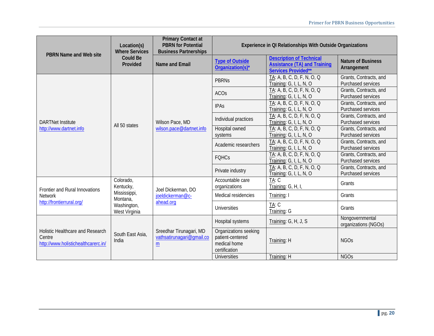| <b>PBRN Name and Web site</b>                                                     | Location(s)<br><b>Where Services</b>               | <b>Primary Contact at</b><br><b>PBRN</b> for Potential<br><b>Business Partnerships</b> | Experience in QI Relationships With Outside Organizations                  |                                                                                               |                                              |
|-----------------------------------------------------------------------------------|----------------------------------------------------|----------------------------------------------------------------------------------------|----------------------------------------------------------------------------|-----------------------------------------------------------------------------------------------|----------------------------------------------|
|                                                                                   | <b>Could Be</b><br>Provided                        | Name and Email                                                                         | <b>Type of Outside</b><br>Organization(s)*                                 | <b>Description of Technical</b><br><b>Assistance (TA) and Training</b><br>Services Provided** | <b>Nature of Business</b><br>Arrangement     |
|                                                                                   |                                                    |                                                                                        | <b>PBRNs</b>                                                               | TA: A, B, C, D, F, N, O, Q<br>Training: G, I, L, N, O                                         | Grants, Contracts, and<br>Purchased services |
|                                                                                   |                                                    |                                                                                        | ACOs                                                                       | TA: A, B, C, D, F, N, O, Q<br>Training: G, I, L, N, O                                         | Grants, Contracts, and<br>Purchased services |
|                                                                                   |                                                    | Wilson Pace, MD<br>wilson.pace@dartnet.info                                            | <b>IPAs</b>                                                                | TA: A, B, C, D, F, N, O, Q<br>Training: G, I, L, N, O                                         | Grants, Contracts, and<br>Purchased services |
| <b>DARTNet Institute</b>                                                          |                                                    |                                                                                        | Individual practices                                                       | TA: A, B, C, D, F, N, O, Q<br>Training: G, I, L, N, O                                         | Grants, Contracts, and<br>Purchased services |
| http://www.dartnet.info                                                           | All 50 states                                      |                                                                                        | Hospital owned<br>systems                                                  | TA: A, B, C, D, F, N, O, Q<br>Training: G, I, L, N, O                                         | Grants, Contracts, and<br>Purchased services |
|                                                                                   |                                                    |                                                                                        | Academic researchers                                                       | TA: A, B, C, D, F, N, O, Q<br>Training: G, I, L, N, O                                         | Grants, Contracts, and<br>Purchased services |
|                                                                                   |                                                    |                                                                                        | <b>FQHCs</b>                                                               | TA: A, B, C, D, F, N, O, Q<br>Training: G, I, L, N, O                                         | Grants, Contracts, and<br>Purchased services |
|                                                                                   |                                                    |                                                                                        | Private industry                                                           | TA: A, B, C, D, F, N, O, Q<br>Training: G, I, L, N, O                                         | Grants, Contracts, and<br>Purchased services |
| Frontier and Rural Innovations                                                    | Colorado,<br>Kentucky,<br>Mississippi,<br>Montana, | Joel Dickerman, DO<br>joeldickerman@c-<br>ahead.org                                    | Accountable care<br>organizations                                          | $TA: \overline{C}$<br>Training: G, H, I,                                                      | Grants                                       |
| <b>Network</b>                                                                    |                                                    |                                                                                        | Medical residencies                                                        | Training: I                                                                                   | Grants                                       |
| http://frontierrural.org/                                                         | Washington,<br>West Virginia                       |                                                                                        | <b>Universities</b>                                                        | TA: C<br>Training: G                                                                          | Grants                                       |
|                                                                                   |                                                    |                                                                                        | Hospital systems                                                           | Training: G, H, J, S                                                                          | Nongovernmental<br>organizations (NGOs)      |
| Holistic Healthcare and Research<br>Centre<br>http://www.holistichealthcarerc.in/ | South East Asia,<br>India                          | Sreedhar Tirunagari, MD<br>vathsatirunagari@gmail.co<br>$\underline{m}$                | Organizations seeking<br>patient-centered<br>medical home<br>certification | Training: H                                                                                   | <b>NGOs</b>                                  |
|                                                                                   |                                                    |                                                                                        | Universities                                                               | Training: H                                                                                   | <b>NGOs</b>                                  |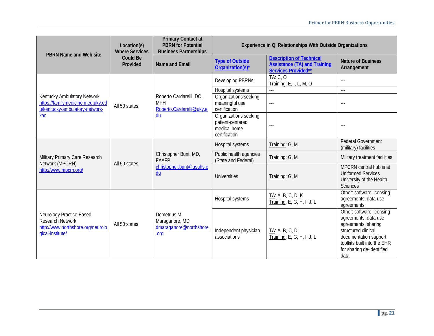| <b>PBRN Name and Web site</b>                                                                                | Location(s)<br><b>Where Services</b> | <b>Primary Contact at</b><br><b>PBRN</b> for Potential<br><b>Business Partnerships</b> | Experience in QI Relationships With Outside Organizations                  |                                                                                                      |                                                                                                                                                                                              |
|--------------------------------------------------------------------------------------------------------------|--------------------------------------|----------------------------------------------------------------------------------------|----------------------------------------------------------------------------|------------------------------------------------------------------------------------------------------|----------------------------------------------------------------------------------------------------------------------------------------------------------------------------------------------|
|                                                                                                              | <b>Could Be</b><br>Provided          | Name and Email                                                                         | <b>Type of Outside</b><br>Organization(s)*                                 | <b>Description of Technical</b><br><b>Assistance (TA) and Training</b><br><b>Services Provided**</b> | <b>Nature of Business</b><br>Arrangement                                                                                                                                                     |
|                                                                                                              |                                      |                                                                                        | Developing PBRNs                                                           | TA: C, O<br>Training: E, I, L, M, O                                                                  | $\overline{a}$                                                                                                                                                                               |
|                                                                                                              |                                      |                                                                                        | Hospital systems                                                           | $---$                                                                                                | $\overline{a}$                                                                                                                                                                               |
| Kentucky Ambulatory Network<br>https://familymedicine.med.uky.ed<br>u/kentucky-ambulatory-network-           | All 50 states                        | Roberto Cardarelli, DO,<br><b>MPH</b><br>Roberto.Cardarelli@uky.e<br>du                | Organizations seeking<br>meaningful use<br>certification                   | $---$                                                                                                | $\overline{a}$                                                                                                                                                                               |
| kan                                                                                                          |                                      |                                                                                        | Organizations seeking<br>patient-centered<br>medical home<br>certification | $---$                                                                                                | $\overline{a}$                                                                                                                                                                               |
|                                                                                                              | All 50 states                        | Christopher Bunt, MD,<br>FAAFP<br>christopher.bunt@usuhs.e<br>$du$                     | Hospital systems                                                           | Training: G, M                                                                                       | <b>Federal Government</b><br>(military) facilities                                                                                                                                           |
| Military Primary Care Research                                                                               |                                      |                                                                                        | Public health agencies<br>(State and Federal)                              | Training: G, M                                                                                       | Military treatment facilities                                                                                                                                                                |
| Network (MPCRN)<br>http://www.mpcrn.org/                                                                     |                                      |                                                                                        | <b>Universities</b>                                                        | Training: G, M                                                                                       | MPCRN central hub is at<br><b>Uniformed Services</b><br>University of the Health<br><b>Sciences</b>                                                                                          |
|                                                                                                              |                                      |                                                                                        | Hospital systems                                                           | TA: A, B, C, D, K<br>Training: E, G, H, I, J, L                                                      | Other: software licensing<br>agreements, data use<br>agreements                                                                                                                              |
| Neurology Practice Based<br><b>Research Network</b><br>http://www.northshore.org/neurolo<br>gical-institute/ | All 50 states                        | Demetrius M.<br>Maraganore, MD<br>dmaraganore@northshore<br>.org                       | Independent physician<br>associations                                      | TA: A, B, C, D<br>Training: E, G, H, I, J, L                                                         | Other: software licensing<br>agreements, data use<br>agreements, sharing<br>structured clinical<br>documentation support<br>toolkits built into the EHR<br>for sharing de-identified<br>data |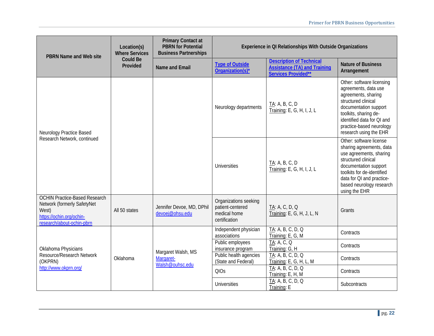| <b>PBRN Name and Web site</b>                                                                                                         | Location(s)<br><b>Where Services</b> | <b>Primary Contact at</b><br><b>PBRN</b> for Potential<br><b>Business Partnerships</b> | Experience in QI Relationships With Outside Organizations                  |                                                                                               |                                                                                                                                                                                                                                        |
|---------------------------------------------------------------------------------------------------------------------------------------|--------------------------------------|----------------------------------------------------------------------------------------|----------------------------------------------------------------------------|-----------------------------------------------------------------------------------------------|----------------------------------------------------------------------------------------------------------------------------------------------------------------------------------------------------------------------------------------|
|                                                                                                                                       | <b>Could Be</b><br>Provided          | Name and Email                                                                         | <b>Type of Outside</b><br>Organization(s) <sup>*</sup>                     | <b>Description of Technical</b><br><b>Assistance (TA) and Training</b><br>Services Provided** | <b>Nature of Business</b><br>Arrangement                                                                                                                                                                                               |
| Neurology Practice Based                                                                                                              |                                      |                                                                                        | Neurology departments                                                      | TA: A, B, C, D<br>Training: E, G, H, I, J, L                                                  | Other: software licensing<br>agreements, data use<br>agreements, sharing<br>structured clinical<br>documentation support<br>toolkits, sharing de-<br>identified data for QI and<br>practice-based neurology<br>research using the EHR  |
| Research Network, continued                                                                                                           |                                      |                                                                                        | Universities                                                               | TA: A, B, C, D<br>Training: E, G, H, I, J, L                                                  | Other: software license<br>sharing agreements, data<br>use agreements, sharing<br>structured clinical<br>documentation support<br>toolkits for de-identified<br>data for QI and practice-<br>based neurology research<br>using the EHR |
| <b>OCHIN Practice-Based Research</b><br>Network (formerly SafetyNet<br>West)<br>https://ochin.org/ochin-<br>research/about-ochin-pbrn | All 50 states                        | Jennifer Devoe, MD, DPhil<br>devoej@ohsu.edu                                           | Organizations seeking<br>patient-centered<br>medical home<br>certification | TA: A, C, D, Q<br>Training: E, G, H, J, L, N                                                  | Grants                                                                                                                                                                                                                                 |
|                                                                                                                                       |                                      |                                                                                        | Independent physician<br>associations                                      | TA: A, B, C, D, Q<br>Training: E, G, M                                                        | Contracts                                                                                                                                                                                                                              |
| Oklahoma Physicians                                                                                                                   |                                      | Margaret Walsh, MS                                                                     | Public employees<br>insurance program                                      | TA: A, C, Q<br>Training: G, H                                                                 | Contracts                                                                                                                                                                                                                              |
| Resource/Research Network<br>(OKPRN)<br>http://www.okprn.org/                                                                         | Oklahoma                             | Margaret-<br>Walsh@ouhsc.edu                                                           | Public health agencies<br>(State and Federal)                              | TA: A, B, C, D, Q<br>Training: E, G, H, L, M                                                  | Contracts                                                                                                                                                                                                                              |
|                                                                                                                                       |                                      |                                                                                        | QIOs                                                                       | TA: A, B, C, D, Q<br>Training: E, H, M                                                        | Contracts                                                                                                                                                                                                                              |
|                                                                                                                                       |                                      |                                                                                        | <b>Universities</b>                                                        | TA: A, B, C, D, Q<br>Training: E                                                              | Subcontracts                                                                                                                                                                                                                           |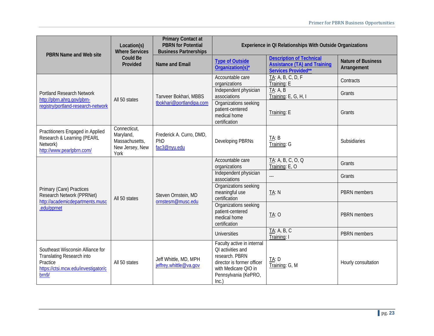|                                                                                                                                  | Location(s)<br><b>Where Services</b>                                   | <b>Primary Contact at</b><br><b>PBRN</b> for Potential<br><b>Business Partnerships</b> | Experience in QI Relationships With Outside Organizations                                                                                                |                                                                                               |                                          |
|----------------------------------------------------------------------------------------------------------------------------------|------------------------------------------------------------------------|----------------------------------------------------------------------------------------|----------------------------------------------------------------------------------------------------------------------------------------------------------|-----------------------------------------------------------------------------------------------|------------------------------------------|
| <b>PBRN Name and Web site</b>                                                                                                    | <b>Could Be</b><br>Provided                                            | Name and Email                                                                         | <b>Type of Outside</b><br>Organization(s)*                                                                                                               | <b>Description of Technical</b><br><b>Assistance (TA) and Training</b><br>Services Provided** | <b>Nature of Business</b><br>Arrangement |
|                                                                                                                                  |                                                                        |                                                                                        | Accountable care<br>organizations                                                                                                                        | TA: A, B, C, D, F<br>Training: E                                                              | Contracts                                |
| <b>Portland Research Network</b>                                                                                                 | All 50 states                                                          | Tanveer Bokhari, MBBS                                                                  | Independent physician<br>associations                                                                                                                    | TA: A, B<br>Training: E, G, H, I                                                              | Grants                                   |
| http://pbrn.ahrq.gov/pbrn-<br>registry/portland-research-network                                                                 |                                                                        | tbokhari@portlandipa.com                                                               | Organizations seeking<br>patient-centered<br>medical home<br>certification                                                                               | Training: E                                                                                   | Grants                                   |
| Practitioners Engaged in Applied<br>Research & Learning (PEARL<br>Network)<br>http://www.pearlpbrn.com/                          | Connecticut,<br>Maryland,<br>Massachusetts,<br>New Jersey, New<br>York | Frederick A. Curro, DMD,<br>PhD<br>fac3@nyu.edu                                        | <b>Developing PBRNs</b>                                                                                                                                  | TA: B<br>Training: G                                                                          | Subsidiaries                             |
|                                                                                                                                  | All 50 states                                                          | Steven Ornstein, MD<br>ornstesm@musc.edu                                               | Accountable care<br>organizations                                                                                                                        | TA: A, B, C, O, Q<br>Training: E, O                                                           | Grants                                   |
|                                                                                                                                  |                                                                        |                                                                                        | Independent physician<br>associations                                                                                                                    | $\overline{a}$                                                                                | Grants                                   |
| Primary (Care) Practices<br>Research Network (PPRNet)                                                                            |                                                                        |                                                                                        | Organizations seeking<br>meaningful use<br>certification                                                                                                 | TA: N                                                                                         | <b>PBRN</b> members                      |
| http://academicdepartments.musc<br>edu/pprnet                                                                                    |                                                                        |                                                                                        | Organizations seeking<br>patient-centered<br>medical home<br>certification                                                                               | TA: O                                                                                         | <b>PBRN</b> members                      |
|                                                                                                                                  |                                                                        |                                                                                        | <b>Universities</b>                                                                                                                                      | TA: A, B, C<br>Training: I                                                                    | <b>PBRN</b> members                      |
| Southeast Wisconsin Alliance for<br><b>Translating Research into</b><br>Practice<br>https://ctsi.mcw.edu/investigator/c<br>brn9/ | All 50 states                                                          | Jeff Whittle, MD, MPH<br>jeffrey.whittle@va.gov                                        | Faculty active in internal<br>QI activities and<br>research. PBRN<br>director is former officer<br>with Medicare QIO in<br>Pennsylvania (KePRO,<br>Inc.) | TA: D<br>Training: G, M                                                                       | Hourly consultation                      |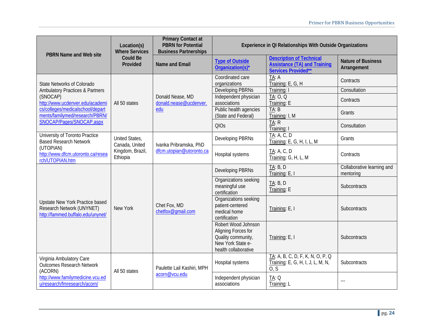| <b>PBRN Name and Web site</b>                                                                     | Location(s)<br><b>Where Services</b> | Primary Contact at<br><b>PBRN</b> for Potential<br><b>Business Partnerships</b> | Experience in QI Relationships With Outside Organizations                                                     |                                                                                               |                                          |
|---------------------------------------------------------------------------------------------------|--------------------------------------|---------------------------------------------------------------------------------|---------------------------------------------------------------------------------------------------------------|-----------------------------------------------------------------------------------------------|------------------------------------------|
|                                                                                                   | <b>Could Be</b><br>Provided          | Name and Email                                                                  | <b>Type of Outside</b><br>Organization(s)*                                                                    | <b>Description of Technical</b><br><b>Assistance (TA) and Training</b><br>Services Provided** | <b>Nature of Business</b><br>Arrangement |
| <b>State Networks of Colorado</b>                                                                 |                                      |                                                                                 | Coordinated care<br>organizations                                                                             | TA: A<br>Training: E, G, H                                                                    | Contracts                                |
| <b>Ambulatory Practices &amp; Partners</b>                                                        |                                      |                                                                                 | <b>Developing PBRNs</b>                                                                                       | Training: I                                                                                   | Consultation                             |
| (SNOCAP)<br>http://www.ucdenver.edu/academi                                                       | All 50 states                        | Donald Nease, MD<br>donald.nease@ucdenver.                                      | Independent physician<br>associations                                                                         | TA: 0, 0<br>Training: E                                                                       | Contracts                                |
| cs/colleges/medicalschool/depart<br>ments/familymed/research/PBRN/                                |                                      | edu                                                                             | Public health agencies<br>(State and Federal)                                                                 | TA: B<br>Training: I, M                                                                       | Grants                                   |
| SNOCAP/Pages/SNOCAP.aspx                                                                          |                                      |                                                                                 | <b>QIOs</b>                                                                                                   | TA: R<br>Training: I                                                                          | Consultation                             |
| University of Toronto Practice<br><b>Based Research Network</b>                                   | United States,<br>Canada, United     | Ivanka Pribramska, PhD                                                          | Developing PBRNs                                                                                              | TA: A, C, D<br>Training: E, G, H, I, L, M                                                     | Grants                                   |
| (UTOPIAN)<br>http://www.dfcm.utoronto.ca/resea<br>rch/UTOPIAN.htm                                 | Kingdom, Brazil,<br>Ethiopia         | dfcm.utopian@utoronto.ca                                                        | Hospital systems                                                                                              | TA: A, C, D<br>Training: G, H, L, M                                                           | Contracts                                |
|                                                                                                   | <b>New York</b>                      | Chet Fox, MD<br>chetfox@qmail.com                                               | Developing PBRNs                                                                                              | TA: B, D<br>Training: E, I                                                                    | Collaborative learning and<br>mentoring  |
|                                                                                                   |                                      |                                                                                 | Organizations seeking<br>meaningful use<br>certification                                                      | TA: B, D<br>Training: E                                                                       | Subcontracts                             |
| Upstate New York Practice based<br>Research Network (UNYNET)<br>http://fammed.buffalo.edu/unynet/ |                                      |                                                                                 | Organizations seeking<br>patient-centered<br>medical home<br>certification                                    | Training: E, I                                                                                | Subcontracts                             |
|                                                                                                   |                                      |                                                                                 | Robert Wood Johnson<br>Aligning Forces for<br>Quality community,<br>New York State e-<br>health collaborative | Training: E, I                                                                                | <b>Subcontracts</b>                      |
| Virginia Ambulatory Care<br><b>Outcomes Research Network</b><br>(ACORN)                           | All 50 states                        | Paulette Lail Kashiri, MPH                                                      | Hospital systems                                                                                              | TA: A, B, C, D, F, K, N, O, P, Q<br>Training: E, G, H, I, J, L, M, N,<br>0, S                 | Subcontracts                             |
| http://www.familymedicine.vcu.ed<br>u/research/fmresearch/acorn/                                  |                                      | acorn@vcu.edu                                                                   | Independent physician<br>associations                                                                         | TA: Q<br>Training: L                                                                          | $---$                                    |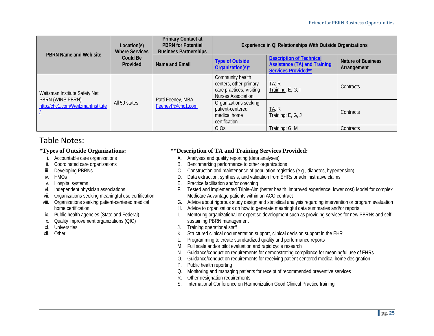| <b>PBRN Name and Web site</b>                                                          | Location(s)<br><b>Where Services</b> | <b>Primary Contact at</b><br><b>PBRN</b> for Potential<br><b>Business Partnerships</b> | Experience in QI Relationships With Outside Organizations                                           |                                                                                                      |                                          |
|----------------------------------------------------------------------------------------|--------------------------------------|----------------------------------------------------------------------------------------|-----------------------------------------------------------------------------------------------------|------------------------------------------------------------------------------------------------------|------------------------------------------|
|                                                                                        | Could Be<br>Provided                 | Name and Email                                                                         | <b>Type of Outside</b><br>Organization(s)*                                                          | <b>Description of Technical</b><br><b>Assistance (TA) and Training</b><br><b>Services Provided**</b> | <b>Nature of Business</b><br>Arrangement |
| Weitzman Institute Safety Net<br>PBRN (WINS PBRN)<br>http://chc1.com/WeitzmanInstitute | All 50 states                        |                                                                                        | Community health<br>centers, other primary<br>care practices, Visiting<br><b>Nurses Association</b> | TA: R<br>Training: E, G, I                                                                           | Contracts                                |
|                                                                                        |                                      | Patti Feeney, MBA<br>FeeneyP@chc1.com                                                  | Organizations seeking<br>patient-centered<br>medical home<br>certification                          | TA: R<br>Training: E, G, J                                                                           | Contracts                                |
|                                                                                        |                                      |                                                                                        | OIO <sub>S</sub>                                                                                    | Training: G, M                                                                                       | Contracts                                |

# Table Notes:

#### **\*Types of Outside Organizations:**

- i. Accountable care organizations
- ii. Coordinated care organizations
- iii. Developing PBRNs
- iv. HMOs
- v. Hospital systems
- vi. Independent physician associations
- vii. Organizations seeking meaningful use certification
- viii. Organizations seeking patient-centered medical home certification
- ix. Public health agencies (State and Federal)
- x. Quality improvement organizations (QIO)
- xi. Universities
- xii. Other

#### <span id="page-32-0"></span>**\*\*Description of TA and Training Services Provided:**

- A. Analyses and quality reporting (data analyses)
- B. Benchmarking performance to other organizations
- C. Construction and maintenance of population registries (e.g., diabetes, hypertension)
- D. Data extraction, synthesis, and validation from EHRs or administrative claims
- E. Practice facilitation and/or coaching
- F. Tested and implemented Triple-Aim (better health, improved experience, lower cost) Model for complex Medicare Advantage patients within an ACO contract
- G. Advice about rigorous study design and statistical analysis regarding intervention or program evaluation
- H. Advice to organizations on how to generate meaningful data summaries and/or reports
- I. Mentoring organizational or expertise development such as providing services for new PBRNs and selfsustaining PBRN management
- J. Training operational staff
- K. Structured clinical documentation support, clinical decision support in the EHR
- L. Programming to create standardized quality and performance reports
- M. Full scale and/or pilot evaluation and rapid cycle research
- N. Guidance/conduct on requirements for demonstrating compliance for meaningful use of EHRs
- O. Guidance/conduct on requirements for receiving patient-centered medical home designation
- P. Public health reporting
- Q. Monitoring and managing patients for receipt of recommended preventive services
- R. Other designation requirements
- S. International Conference on Harmonization Good Clinical Practice training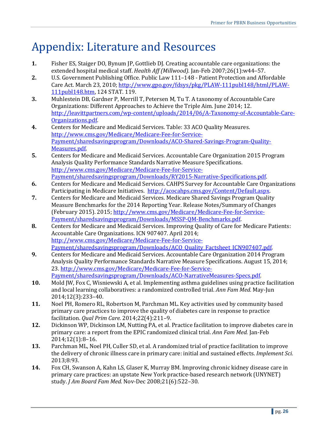# <span id="page-33-13"></span><span id="page-33-1"></span><span id="page-33-0"></span>Appendix: Literature and Resources

- <span id="page-33-2"></span>**1.** Fisher ES, Staiger DO, Bynum JP, Gottlieb DJ. Creating accountable care organizations: the extended hospital medical staff. *Health Aff (Millwood).* Jan-Feb 2007;26(1):w44–57.
- <span id="page-33-3"></span>**2.** U.S. Government Publishing Office. Public Law 111–148 - Patient Protection and Affordable Care Act. March 23, 2010[; http://www.gpo.gov/fdsys/pkg/PLAW-111publ148/html/PLAW-](http://www.gpo.gov/fdsys/pkg/PLAW-111publ148/html/PLAW-111publ148.htm)[111publ148.htm,](http://www.gpo.gov/fdsys/pkg/PLAW-111publ148/html/PLAW-111publ148.htm) 124 STAT. 119.
- <span id="page-33-4"></span>**3.** Muhlestein DB, Gardner P, Merrill T, Petersen M, Tu T. A taxonomy of Accountable Care Organizations: Different Approaches to Achieve the Triple Aim. June 2014; 12. [http://leavittpartners.com/wp-content/uploads/2014/06/A-Taxonomy-of-Accountable-Care-](http://leavittpartners.com/wp-content/uploads/2014/06/A-Taxonomy-of-Accountable-Care-Organizations.pdf)[Organizations.pdf.](http://leavittpartners.com/wp-content/uploads/2014/06/A-Taxonomy-of-Accountable-Care-Organizations.pdf)
- <span id="page-33-5"></span>**4.** Centers for Medicare and Medicaid Services. Table: 33 ACO Quality Measures. [http://www.cms.gov/Medicare/Medicare-Fee-for-Service-](http://www.cms.gov/Medicare/Medicare-Fee-for-Service-Payment/sharedsavingsprogram/Downloads/ACO-Shared-Savings-Program-Quality-Measures.pdf)[Payment/sharedsavingsprogram/Downloads/ACO-Shared-Savings-Program-Quality-](http://www.cms.gov/Medicare/Medicare-Fee-for-Service-Payment/sharedsavingsprogram/Downloads/ACO-Shared-Savings-Program-Quality-Measures.pdf)[Measures.pdf.](http://www.cms.gov/Medicare/Medicare-Fee-for-Service-Payment/sharedsavingsprogram/Downloads/ACO-Shared-Savings-Program-Quality-Measures.pdf)
- <span id="page-33-6"></span>**5.** Centers for Medicare and Medicaid Services. Accountable Care Organization 2015 Program Analysis Quality Performance Standards Narrative Measure Specifications. [http://www.cms.gov/Medicare/Medicare-Fee-for-Service-](http://www.cms.gov/Medicare/Medicare-Fee-for-Service-Payment/sharedsavingsprogram/Downloads/RY2015-Narrative-Specifications.pdf)[Payment/sharedsavingsprogram/Downloads/RY2015-Narrative-Specifications.pdf.](http://www.cms.gov/Medicare/Medicare-Fee-for-Service-Payment/sharedsavingsprogram/Downloads/RY2015-Narrative-Specifications.pdf)
- <span id="page-33-7"></span>**6.** Centers for Medicare and Medicaid Services. CAHPS Survey for Accountable Care Organizations Participating in Medicare Initiatives. [http://acocahps.cms.gov/Content/Default.aspx.](http://acocahps.cms.gov/Content/Default.aspx)
- <span id="page-33-8"></span>**7.** Centers for Medicare and Medicaid Services. Medicare Shared Savings Program Quality Measure Benchmarks for the 2014 Reporting Year. Release Notes/Summary of Changes (February 2015). 2015[; http://www.cms.gov/Medicare/Medicare-Fee-for-Service-](http://www.cms.gov/Medicare/Medicare-Fee-for-Service-Payment/sharedsavingsprogram/Downloads/MSSP-QM-Benchmarks.pdf)[Payment/sharedsavingsprogram/Downloads/MSSP-QM-Benchmarks.pdf.](http://www.cms.gov/Medicare/Medicare-Fee-for-Service-Payment/sharedsavingsprogram/Downloads/MSSP-QM-Benchmarks.pdf)
- <span id="page-33-9"></span>**8.** Centers for Medicare and Medicaid Services. Improving Quality of Care for Medicare Patients: Accountable Care Organizations. ICN 907407. April 2014; [http://www.cms.gov/Medicare/Medicare-Fee-for-Service-](http://www.cms.gov/Medicare/Medicare-Fee-for-Service-Payment/sharedsavingsprogram/Downloads/ACO_Quality_Factsheet_ICN907407.pdf)Payment/sharedsavingsprogram/Downloads/ACO\_Quality\_Factsheet\_ICN907407.pdf.
- <span id="page-33-10"></span>**9.** Centers for Medicare and Medicaid Services. Accountable Care Organization 2014 Program Analysis Quality Performance Standards Narrative Measure Specifications. August 15, 2014; 23[. http://www.cms.gov/Medicare/Medicare-Fee-for-Service-](http://www.cms.gov/Medicare/Medicare-Fee-for-Service-Payment/sharedsavingsprogram/Downloads/ACO-NarrativeMeasures-Specs.pdf)[Payment/sharedsavingsprogram/Downloads/ACO-NarrativeMeasures-Specs.pdf.](http://www.cms.gov/Medicare/Medicare-Fee-for-Service-Payment/sharedsavingsprogram/Downloads/ACO-NarrativeMeasures-Specs.pdf)
- <span id="page-33-11"></span>**10.** Mold JW, Fox C, Wisniewski A, et al. Implementing asthma guidelines using practice facilitation and local learning collaboratives: a randomized controlled trial. *Ann Fam Med.* May-Jun 2014;12(3):233–40.
- **11.** Noel PH, Romero RL, Robertson M, Parchman ML. Key activities used by community based primary care practices to improve the quality of diabetes care in response to practice facilitation. *Qual Prim Care.* 2014;22(4):211–9.
- **12.** Dickinson WP, Dickinson LM, Nutting PA, et al. Practice facilitation to improve diabetes care in primary care: a report from the EPIC randomized clinical trial. *Ann Fam Med.* Jan-Feb 2014;12(1):8–16.
- **13.** Parchman ML, Noel PH, Culler SD, et al. A randomized trial of practice facilitation to improve the delivery of chronic illness care in primary care: initial and sustained effects. *Implement Sci.*  2013;8:93.
- <span id="page-33-12"></span>**14.** Fox CH, Swanson A, Kahn LS, Glaser K, Murray BM. Improving chronic kidney disease care in primary care practices: an upstate New York practice-based research network (UNYNET) study. *J Am Board Fam Med.* Nov-Dec 2008;21(6):522–30.